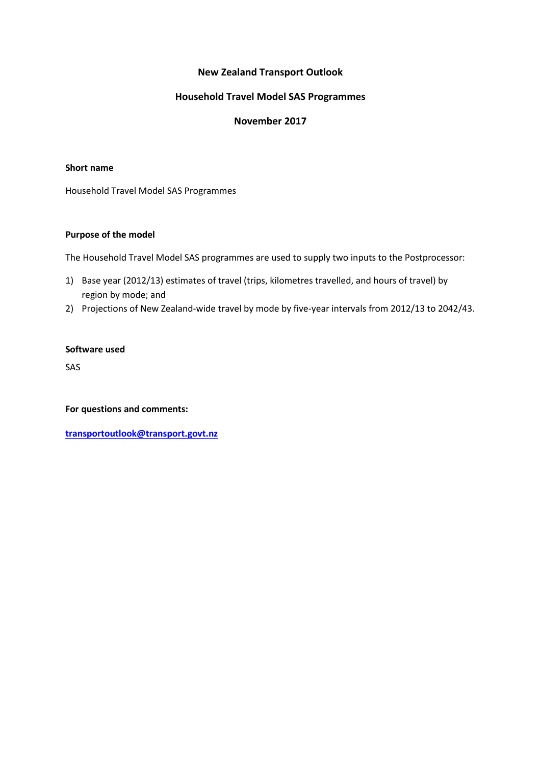# **New Zealand Transport Outlook**

# **Household Travel Model SAS Programmes**

# **November 2017**

## **Short name**

Household Travel Model SAS Programmes

## **Purpose of the model**

The Household Travel Model SAS programmes are used to supply two inputs to the Postprocessor:

- 1) Base year (2012/13) estimates of travel (trips, kilometres travelled, and hours of travel) by region by mode; and
- 2) Projections of New Zealand-wide travel by mode by five-year intervals from 2012/13 to 2042/43.

#### **Software used**

SAS

**For questions and comments:** 

**[transportoutlook@transport.govt.nz](mailto:transportoutlook@transport.govt.nz)**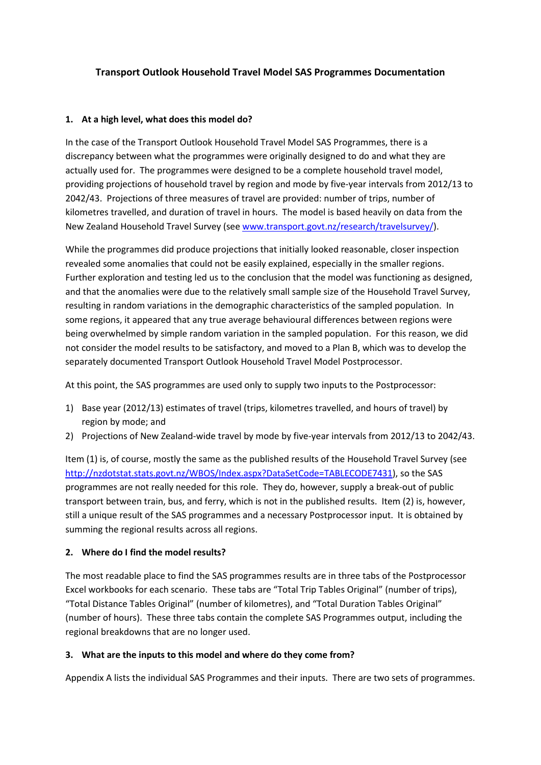# **Transport Outlook Household Travel Model SAS Programmes Documentation**

# **1. At a high level, what does this model do?**

In the case of the Transport Outlook Household Travel Model SAS Programmes, there is a discrepancy between what the programmes were originally designed to do and what they are actually used for. The programmes were designed to be a complete household travel model, providing projections of household travel by region and mode by five-year intervals from 2012/13 to 2042/43. Projections of three measures of travel are provided: number of trips, number of kilometres travelled, and duration of travel in hours. The model is based heavily on data from the New Zealand Household Travel Survey (see [www.transport.govt.nz/research/travelsurvey/\)](http://www.transport.govt.nz/research/travelsurvey/).

While the programmes did produce projections that initially looked reasonable, closer inspection revealed some anomalies that could not be easily explained, especially in the smaller regions. Further exploration and testing led us to the conclusion that the model was functioning as designed, and that the anomalies were due to the relatively small sample size of the Household Travel Survey, resulting in random variations in the demographic characteristics of the sampled population. In some regions, it appeared that any true average behavioural differences between regions were being overwhelmed by simple random variation in the sampled population. For this reason, we did not consider the model results to be satisfactory, and moved to a Plan B, which was to develop the separately documented Transport Outlook Household Travel Model Postprocessor.

At this point, the SAS programmes are used only to supply two inputs to the Postprocessor:

- 1) Base year (2012/13) estimates of travel (trips, kilometres travelled, and hours of travel) by region by mode; and
- 2) Projections of New Zealand-wide travel by mode by five-year intervals from 2012/13 to 2042/43.

Item (1) is, of course, mostly the same as the published results of the Household Travel Survey (see [http://nzdotstat.stats.govt.nz/WBOS/Index.aspx?DataSetCode=TABLECODE7431\)](http://nzdotstat.stats.govt.nz/WBOS/Index.aspx?DataSetCode=TABLECODE7431), so the SAS programmes are not really needed for this role. They do, however, supply a break-out of public transport between train, bus, and ferry, which is not in the published results. Item (2) is, however, still a unique result of the SAS programmes and a necessary Postprocessor input. It is obtained by summing the regional results across all regions.

## **2. Where do I find the model results?**

The most readable place to find the SAS programmes results are in three tabs of the Postprocessor Excel workbooks for each scenario. These tabs are "Total Trip Tables Original" (number of trips), "Total Distance Tables Original" (number of kilometres), and "Total Duration Tables Original" (number of hours). These three tabs contain the complete SAS Programmes output, including the regional breakdowns that are no longer used.

## **3. What are the inputs to this model and where do they come from?**

Appendix A lists the individual SAS Programmes and their inputs. There are two sets of programmes.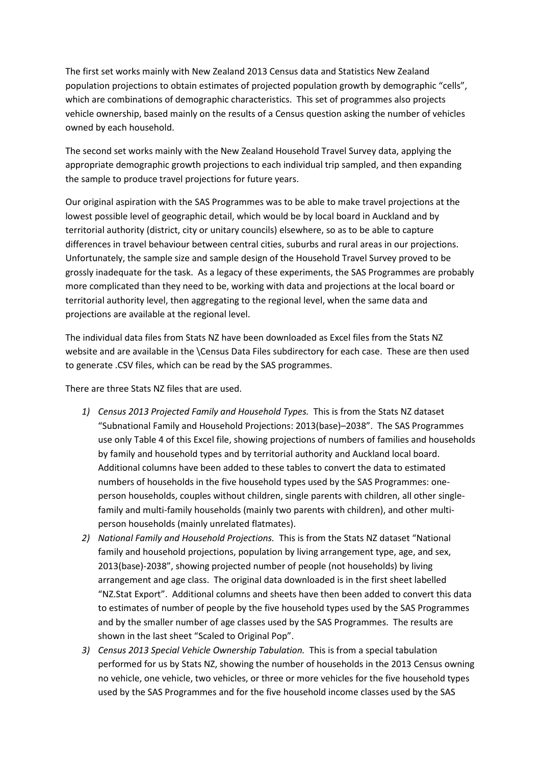The first set works mainly with New Zealand 2013 Census data and Statistics New Zealand population projections to obtain estimates of projected population growth by demographic "cells", which are combinations of demographic characteristics. This set of programmes also projects vehicle ownership, based mainly on the results of a Census question asking the number of vehicles owned by each household.

The second set works mainly with the New Zealand Household Travel Survey data, applying the appropriate demographic growth projections to each individual trip sampled, and then expanding the sample to produce travel projections for future years.

Our original aspiration with the SAS Programmes was to be able to make travel projections at the lowest possible level of geographic detail, which would be by local board in Auckland and by territorial authority (district, city or unitary councils) elsewhere, so as to be able to capture differences in travel behaviour between central cities, suburbs and rural areas in our projections. Unfortunately, the sample size and sample design of the Household Travel Survey proved to be grossly inadequate for the task. As a legacy of these experiments, the SAS Programmes are probably more complicated than they need to be, working with data and projections at the local board or territorial authority level, then aggregating to the regional level, when the same data and projections are available at the regional level.

The individual data files from Stats NZ have been downloaded as Excel files from the Stats NZ website and are available in the \Census Data Files subdirectory for each case. These are then used to generate .CSV files, which can be read by the SAS programmes.

There are three Stats NZ files that are used.

- *1) Census 2013 Projected Family and Household Types.* This is from the Stats NZ dataset "Subnational Family and Household Projections: 2013(base)–2038". The SAS Programmes use only Table 4 of this Excel file, showing projections of numbers of families and households by family and household types and by territorial authority and Auckland local board. Additional columns have been added to these tables to convert the data to estimated numbers of households in the five household types used by the SAS Programmes: oneperson households, couples without children, single parents with children, all other singlefamily and multi-family households (mainly two parents with children), and other multiperson households (mainly unrelated flatmates).
- *2) National Family and Household Projections.* This is from the Stats NZ dataset "National family and household projections, population by living arrangement type, age, and sex, 2013(base)-2038", showing projected number of people (not households) by living arrangement and age class. The original data downloaded is in the first sheet labelled "NZ.Stat Export". Additional columns and sheets have then been added to convert this data to estimates of number of people by the five household types used by the SAS Programmes and by the smaller number of age classes used by the SAS Programmes. The results are shown in the last sheet "Scaled to Original Pop".
- *3) Census 2013 Special Vehicle Ownership Tabulation.* This is from a special tabulation performed for us by Stats NZ, showing the number of households in the 2013 Census owning no vehicle, one vehicle, two vehicles, or three or more vehicles for the five household types used by the SAS Programmes and for the five household income classes used by the SAS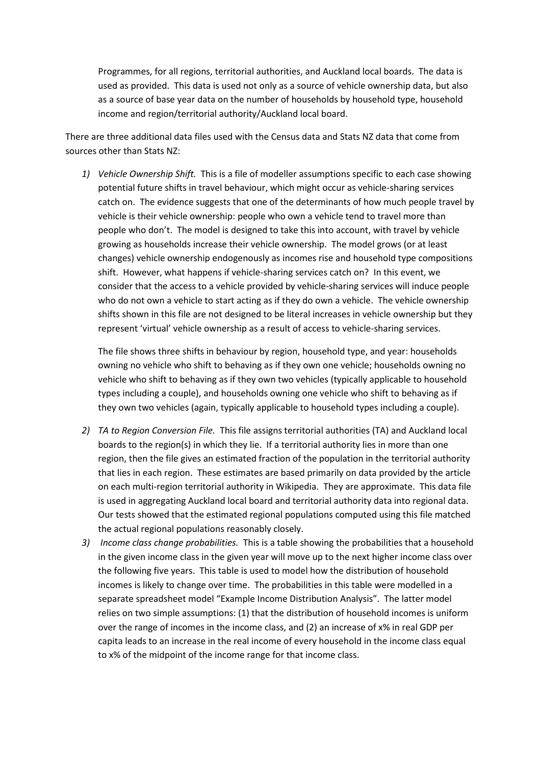Programmes, for all regions, territorial authorities, and Auckland local boards. The data is used as provided. This data is used not only as a source of vehicle ownership data, but also as a source of base year data on the number of households by household type, household income and region/territorial authority/Auckland local board.

There are three additional data files used with the Census data and Stats NZ data that come from sources other than Stats NZ:

*1) Vehicle Ownership Shift.* This is a file of modeller assumptions specific to each case showing potential future shifts in travel behaviour, which might occur as vehicle-sharing services catch on. The evidence suggests that one of the determinants of how much people travel by vehicle is their vehicle ownership: people who own a vehicle tend to travel more than people who don't. The model is designed to take this into account, with travel by vehicle growing as households increase their vehicle ownership. The model grows (or at least changes) vehicle ownership endogenously as incomes rise and household type compositions shift. However, what happens if vehicle-sharing services catch on? In this event, we consider that the access to a vehicle provided by vehicle-sharing services will induce people who do not own a vehicle to start acting as if they do own a vehicle. The vehicle ownership shifts shown in this file are not designed to be literal increases in vehicle ownership but they represent 'virtual' vehicle ownership as a result of access to vehicle-sharing services.

The file shows three shifts in behaviour by region, household type, and year: households owning no vehicle who shift to behaving as if they own one vehicle; households owning no vehicle who shift to behaving as if they own two vehicles (typically applicable to household types including a couple), and households owning one vehicle who shift to behaving as if they own two vehicles (again, typically applicable to household types including a couple).

- *2) TA to Region Conversion File.* This file assigns territorial authorities (TA) and Auckland local boards to the region(s) in which they lie. If a territorial authority lies in more than one region, then the file gives an estimated fraction of the population in the territorial authority that lies in each region. These estimates are based primarily on data provided by the article on each multi-region territorial authority in Wikipedia. They are approximate. This data file is used in aggregating Auckland local board and territorial authority data into regional data. Our tests showed that the estimated regional populations computed using this file matched the actual regional populations reasonably closely.
- *3) Income class change probabilities.* This is a table showing the probabilities that a household in the given income class in the given year will move up to the next higher income class over the following five years. This table is used to model how the distribution of household incomes is likely to change over time. The probabilities in this table were modelled in a separate spreadsheet model "Example Income Distribution Analysis". The latter model relies on two simple assumptions: (1) that the distribution of household incomes is uniform over the range of incomes in the income class, and (2) an increase of x% in real GDP per capita leads to an increase in the real income of every household in the income class equal to x% of the midpoint of the income range for that income class.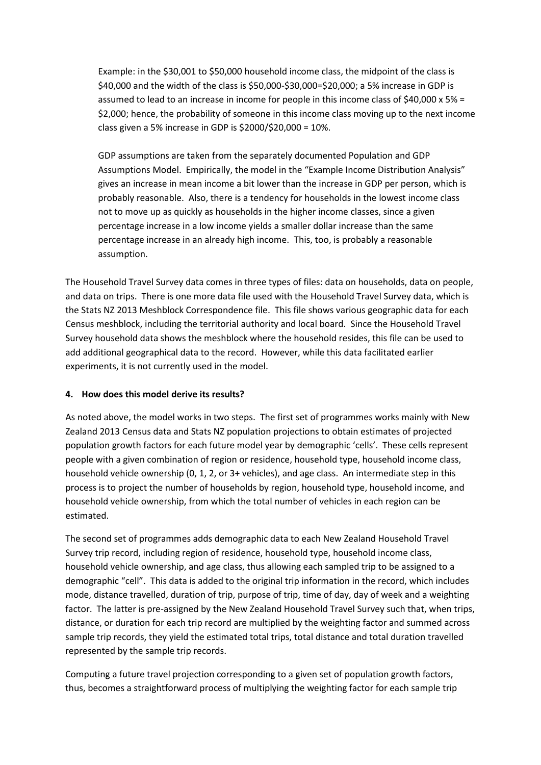Example: in the \$30,001 to \$50,000 household income class, the midpoint of the class is \$40,000 and the width of the class is \$50,000-\$30,000=\$20,000; a 5% increase in GDP is assumed to lead to an increase in income for people in this income class of \$40,000 x 5% = \$2,000; hence, the probability of someone in this income class moving up to the next income class given a 5% increase in GDP is \$2000/\$20,000 = 10%.

GDP assumptions are taken from the separately documented Population and GDP Assumptions Model. Empirically, the model in the "Example Income Distribution Analysis" gives an increase in mean income a bit lower than the increase in GDP per person, which is probably reasonable. Also, there is a tendency for households in the lowest income class not to move up as quickly as households in the higher income classes, since a given percentage increase in a low income yields a smaller dollar increase than the same percentage increase in an already high income. This, too, is probably a reasonable assumption.

The Household Travel Survey data comes in three types of files: data on households, data on people, and data on trips. There is one more data file used with the Household Travel Survey data, which is the Stats NZ 2013 Meshblock Correspondence file. This file shows various geographic data for each Census meshblock, including the territorial authority and local board. Since the Household Travel Survey household data shows the meshblock where the household resides, this file can be used to add additional geographical data to the record. However, while this data facilitated earlier experiments, it is not currently used in the model.

# **4. How does this model derive its results?**

As noted above, the model works in two steps. The first set of programmes works mainly with New Zealand 2013 Census data and Stats NZ population projections to obtain estimates of projected population growth factors for each future model year by demographic 'cells'. These cells represent people with a given combination of region or residence, household type, household income class, household vehicle ownership (0, 1, 2, or 3+ vehicles), and age class. An intermediate step in this process is to project the number of households by region, household type, household income, and household vehicle ownership, from which the total number of vehicles in each region can be estimated.

The second set of programmes adds demographic data to each New Zealand Household Travel Survey trip record, including region of residence, household type, household income class, household vehicle ownership, and age class, thus allowing each sampled trip to be assigned to a demographic "cell". This data is added to the original trip information in the record, which includes mode, distance travelled, duration of trip, purpose of trip, time of day, day of week and a weighting factor. The latter is pre-assigned by the New Zealand Household Travel Survey such that, when trips, distance, or duration for each trip record are multiplied by the weighting factor and summed across sample trip records, they yield the estimated total trips, total distance and total duration travelled represented by the sample trip records.

Computing a future travel projection corresponding to a given set of population growth factors, thus, becomes a straightforward process of multiplying the weighting factor for each sample trip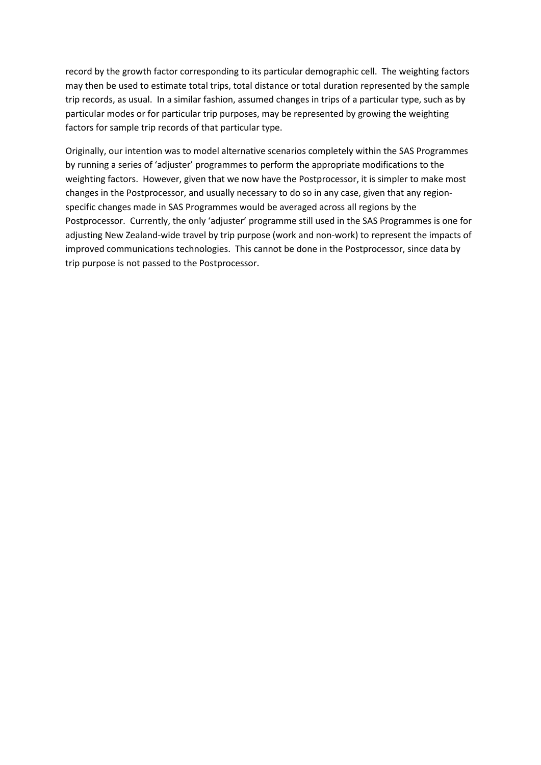record by the growth factor corresponding to its particular demographic cell. The weighting factors may then be used to estimate total trips, total distance or total duration represented by the sample trip records, as usual. In a similar fashion, assumed changes in trips of a particular type, such as by particular modes or for particular trip purposes, may be represented by growing the weighting factors for sample trip records of that particular type.

Originally, our intention was to model alternative scenarios completely within the SAS Programmes by running a series of 'adjuster' programmes to perform the appropriate modifications to the weighting factors. However, given that we now have the Postprocessor, it is simpler to make most changes in the Postprocessor, and usually necessary to do so in any case, given that any regionspecific changes made in SAS Programmes would be averaged across all regions by the Postprocessor. Currently, the only 'adjuster' programme still used in the SAS Programmes is one for adjusting New Zealand-wide travel by trip purpose (work and non-work) to represent the impacts of improved communications technologies. This cannot be done in the Postprocessor, since data by trip purpose is not passed to the Postprocessor.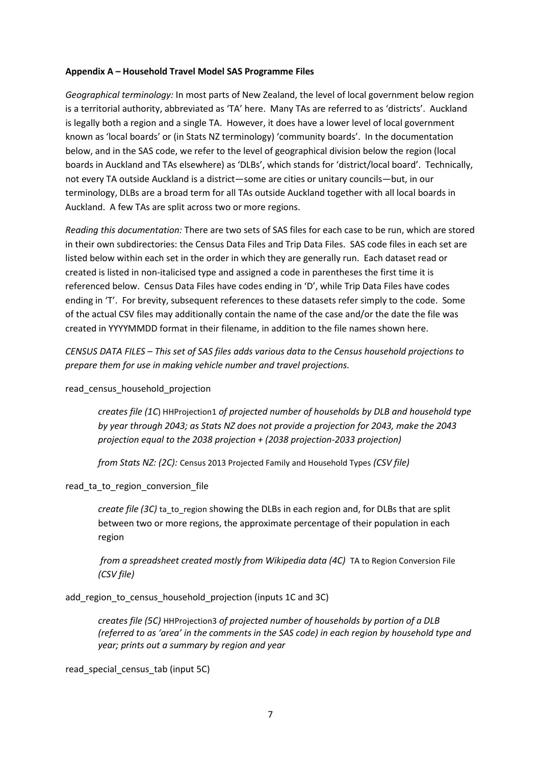## **Appendix A – Household Travel Model SAS Programme Files**

*Geographical terminology:* In most parts of New Zealand, the level of local government below region is a territorial authority, abbreviated as 'TA' here. Many TAs are referred to as 'districts'. Auckland is legally both a region and a single TA. However, it does have a lower level of local government known as 'local boards' or (in Stats NZ terminology) 'community boards'. In the documentation below, and in the SAS code, we refer to the level of geographical division below the region (local boards in Auckland and TAs elsewhere) as 'DLBs', which stands for 'district/local board'. Technically, not every TA outside Auckland is a district—some are cities or unitary councils—but, in our terminology, DLBs are a broad term for all TAs outside Auckland together with all local boards in Auckland. A few TAs are split across two or more regions.

*Reading this documentation:* There are two sets of SAS files for each case to be run, which are stored in their own subdirectories: the Census Data Files and Trip Data Files. SAS code files in each set are listed below within each set in the order in which they are generally run. Each dataset read or created is listed in non-italicised type and assigned a code in parentheses the first time it is referenced below. Census Data Files have codes ending in 'D', while Trip Data Files have codes ending in 'T'. For brevity, subsequent references to these datasets refer simply to the code. Some of the actual CSV files may additionally contain the name of the case and/or the date the file was created in YYYYMMDD format in their filename, in addition to the file names shown here.

*CENSUS DATA FILES – This set of SAS files adds various data to the Census household projections to prepare them for use in making vehicle number and travel projections.*

read census household projection

*creates file (1C*) HHProjection1 *of projected number of households by DLB and household type by year through 2043; as Stats NZ does not provide a projection for 2043, make the 2043 projection equal to the 2038 projection + (2038 projection-2033 projection)*

*from Stats NZ: (2C):* Census 2013 Projected Family and Household Types *(CSV file)*

#### read ta to region conversion file

*create file (3C)* ta to region showing the DLBs in each region and, for DLBs that are split between two or more regions, the approximate percentage of their population in each region

*from a spreadsheet created mostly from Wikipedia data (4C)* TA to Region Conversion File *(CSV file)*

add\_region\_to\_census\_household\_projection (inputs 1C and 3C)

*creates file (5C)* HHProjection3 *of projected number of households by portion of a DLB (referred to as 'area' in the comments in the SAS code) in each region by household type and year; prints out a summary by region and year*

read special census tab (input 5C)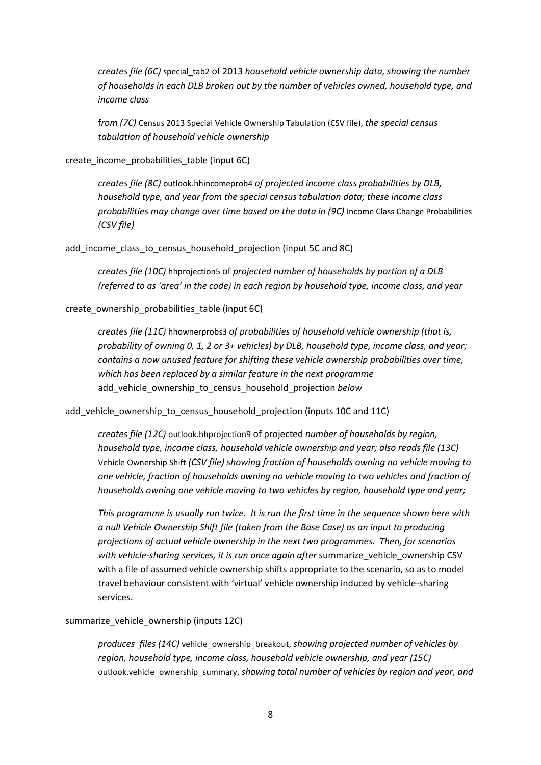*creates file (6C)* special\_tab2 of 2013 *household vehicle ownership data, showing the number of households in each DLB broken out by the number of vehicles owned, household type, and income class*

f*rom (7C)* Census 2013 Special Vehicle Ownership Tabulation (CSV file), *the special census tabulation of household vehicle ownership*

create\_income\_probabilities\_table (input 6C)

*creates file (8C)* outlook.hhincomeprob4 *of projected income class probabilities by DLB, household type, and year from the special census tabulation data; these income class probabilities may change over time based on the data in (9C)* Income Class Change Probabilities *(CSV file)*

add income class to census household projection (input 5C and 8C)

*creates file (10C)* hhprojection5 of *projected number of households by portion of a DLB (referred to as 'area' in the code) in each region by household type, income class, and year*

create\_ownership\_probabilities\_table (input 6C)

*creates file (11C)* hhownerprobs3 *of probabilities of household vehicle ownership (that is, probability of owning 0, 1, 2 or 3+ vehicles) by DLB, household type, income class, and year; contains a now unused feature for shifting these vehicle ownership probabilities over time, which has been replaced by a similar feature in the next programme* add\_vehicle\_ownership\_to\_census\_household\_projection *below*

add\_vehicle\_ownership\_to\_census\_household\_projection (inputs 10C and 11C)

*creates file (12C)* outlook.hhprojection9 of projected *number of households by region, household type, income class, household vehicle ownership and year; also reads file (13C)* Vehicle Ownership Shift *(CSV file) showing fraction of households owning no vehicle moving to one vehicle, fraction of households owning no vehicle moving to two vehicles and fraction of households owning one vehicle moving to two vehicles by region, household type and year;* 

*This programme is usually run twice. It is run the first time in the sequence shown here with a null Vehicle Ownership Shift file (taken from the Base Case) as an input to producing projections of actual vehicle ownership in the next two programmes. Then, for scenarios with vehicle-sharing services, it is run once again after* summarize\_vehicle\_ownership CSV with a file of assumed vehicle ownership shifts appropriate to the scenario, so as to model travel behaviour consistent with 'virtual' vehicle ownership induced by vehicle-sharing services.

summarize vehicle ownership (inputs 12C)

*produces files (14C)* vehicle\_ownership\_breakout, *showing projected number of vehicles by region, household type, income class, household vehicle ownership, and year (15C)* outlook.vehicle\_ownership\_summary, *showing total number of vehicles by region and year, and*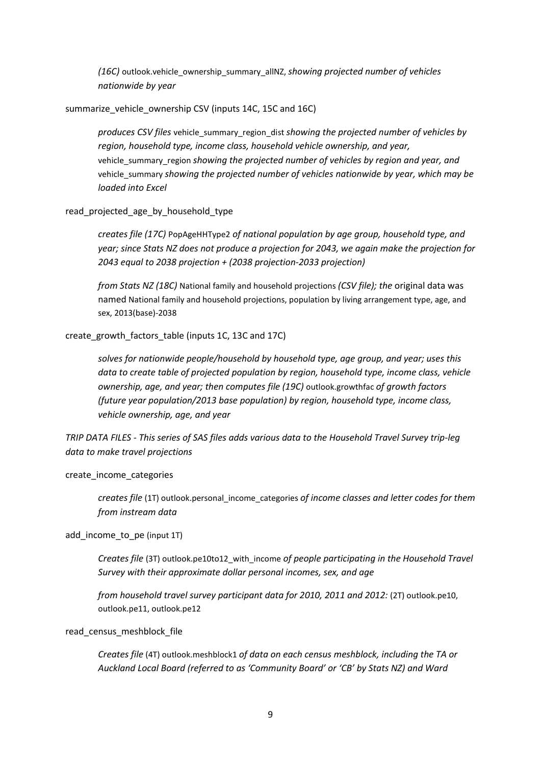*(16C)* outlook.vehicle\_ownership\_summary\_allNZ, *showing projected number of vehicles nationwide by year*

summarize vehicle ownership CSV (inputs 14C, 15C and 16C)

*produces CSV files* vehicle\_summary\_region\_dist *showing the projected number of vehicles by region, household type, income class, household vehicle ownership, and year,*  vehicle\_summary\_region *showing the projected number of vehicles by region and year, and*  vehicle\_summary *showing the projected number of vehicles nationwide by year, which may be loaded into Excel*

#### read\_projected\_age\_by\_household\_type

*creates file (17C)* PopAgeHHType2 *of national population by age group, household type, and year; since Stats NZ does not produce a projection for 2043, we again make the projection for 2043 equal to 2038 projection + (2038 projection-2033 projection)*

*from Stats NZ (18C)* National family and household projections *(CSV file); the* original data was named National family and household projections, population by living arrangement type, age, and sex, 2013(base)-2038

create\_growth\_factors\_table (inputs 1C, 13C and 17C)

*solves for nationwide people/household by household type, age group, and year; uses this data to create table of projected population by region, household type, income class, vehicle ownership, age, and year; then computes file (19C)* outlook.growthfac *of growth factors (future year population/2013 base population) by region, household type, income class, vehicle ownership, age, and year*

*TRIP DATA FILES - This series of SAS files adds various data to the Household Travel Survey trip-leg data to make travel projections*

#### create\_income\_categories

*creates file* (1T) outlook.personal\_income\_categories *of income classes and letter codes for them from instream data*

add\_income\_to\_pe (input 1T)

*Creates file* (3T) outlook.pe10to12\_with\_income *of people participating in the Household Travel Survey with their approximate dollar personal incomes, sex, and age* 

*from household travel survey participant data for 2010, 2011 and 2012:* (2T) outlook.pe10, outlook.pe11, outlook.pe12

read census meshblock file

*Creates file* (4T) outlook.meshblock1 *of data on each census meshblock, including the TA or Auckland Local Board (referred to as 'Community Board' or 'CB' by Stats NZ) and Ward*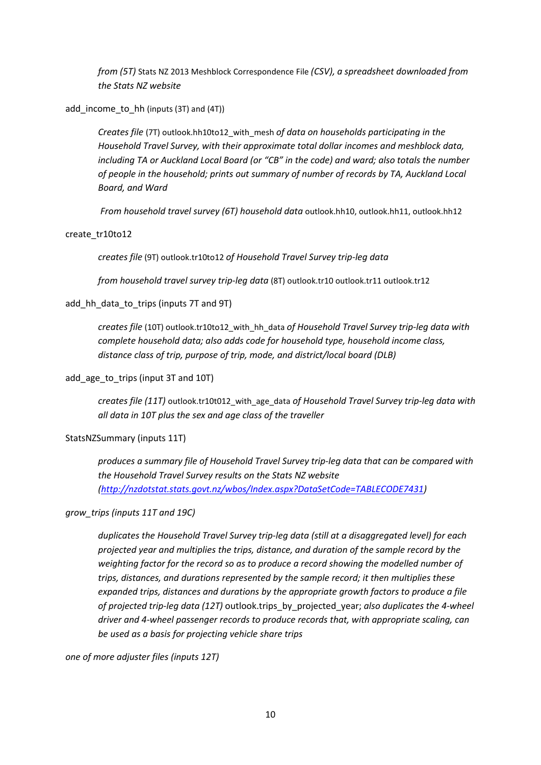*from (5T)* Stats NZ 2013 Meshblock Correspondence File *(CSV), a spreadsheet downloaded from the Stats NZ website*

add\_income\_to\_hh (inputs (3T) and (4T))

*Creates file* (7T) outlook.hh10to12\_with\_mesh *of data on households participating in the Household Travel Survey, with their approximate total dollar incomes and meshblock data, including TA or Auckland Local Board (or "CB" in the code) and ward; also totals the number of people in the household; prints out summary of number of records by TA, Auckland Local Board, and Ward*

*From household travel survey (6T) household data* outlook.hh10, outlook.hh11, outlook.hh12

#### create\_tr10to12

*creates file* (9T) outlook.tr10to12 *of Household Travel Survey trip-leg data*

*from household travel survey trip-leg data* (8T) outlook.tr10 outlook.tr11 outlook.tr12

## add\_hh\_data\_to\_trips (inputs 7T and 9T)

*creates file* (10T) outlook.tr10to12\_with\_hh\_data *of Household Travel Survey trip-leg data with complete household data; also adds code for household type, household income class, distance class of trip, purpose of trip, mode, and district/local board (DLB)*

add\_age\_to\_trips (input 3T and 10T)

*creates file (11T)* outlook.tr10t012\_with\_age\_data *of Household Travel Survey trip-leg data with all data in 10T plus the sex and age class of the traveller*

## StatsNZSummary (inputs 11T)

*produces a summary file of Household Travel Survey trip-leg data that can be compared with the Household Travel Survey results on the Stats NZ website [\(http://nzdotstat.stats.govt.nz/wbos/Index.aspx?DataSetCode=TABLECODE7431\)](http://nzdotstat.stats.govt.nz/wbos/Index.aspx?DataSetCode=TABLECODE7431)* 

## *grow\_trips (inputs 11T and 19C)*

*duplicates the Household Travel Survey trip-leg data (still at a disaggregated level) for each projected year and multiplies the trips, distance, and duration of the sample record by the weighting factor for the record so as to produce a record showing the modelled number of trips, distances, and durations represented by the sample record; it then multiplies these expanded trips, distances and durations by the appropriate growth factors to produce a file of projected trip-leg data (12T)* outlook.trips\_by\_projected\_year; *also duplicates the 4-wheel driver and 4-wheel passenger records to produce records that, with appropriate scaling, can be used as a basis for projecting vehicle share trips*

*one of more adjuster files (inputs 12T)*